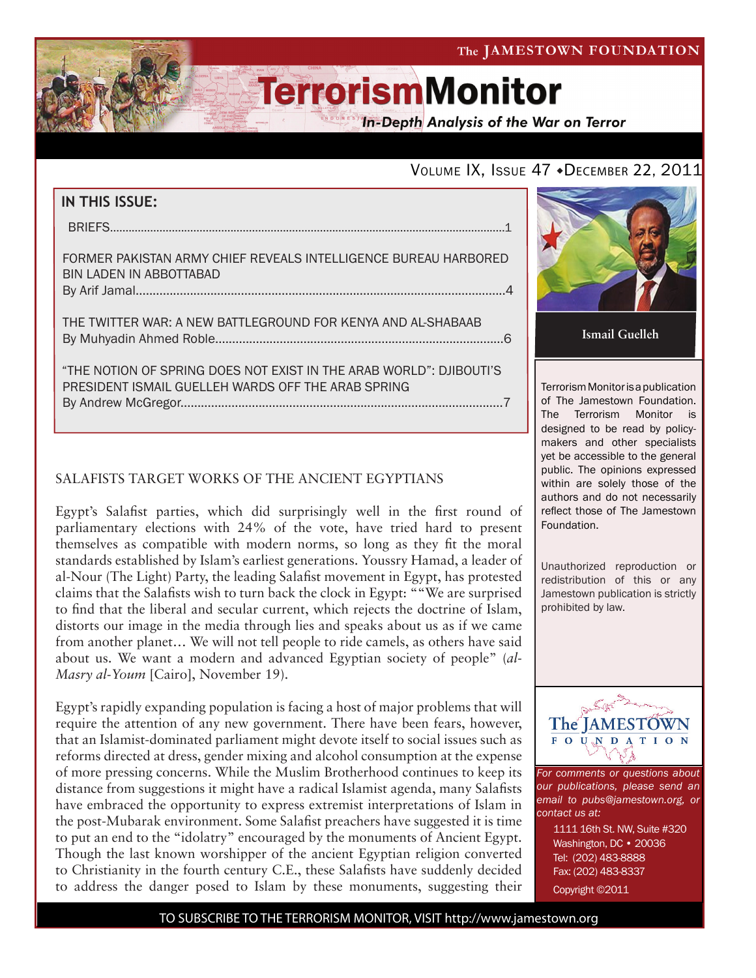

**In-Depth Analysis of the War on Terror** 

### VOLUME IX, ISSUE 47 + DECEMBER 22, 2011

| <b>IN THIS ISSUE:</b>                                                                                                     |
|---------------------------------------------------------------------------------------------------------------------------|
|                                                                                                                           |
| FORMER PAKISTAN ARMY CHIEF REVEALS INTELLIGENCE BUREAU HARBORED<br>BIN LADEN IN ABBOTTABAD                                |
| THE TWITTER WAR: A NEW BATTLEGROUND FOR KENYA AND AL-SHABAAB                                                              |
| "THE NOTION OF SPRING DOES NOT EXIST IN THE ARAB WORLD": DJIBOUTI'S<br>PRESIDENT ISMAIL GUELLEH WARDS OFF THE ARAB SPRING |

#### SALAFISTS TARGET WORKS OF THE ANCIENT EGYPTIANS

Egypt's Salafist parties, which did surprisingly well in the first round of parliamentary elections with 24% of the vote, have tried hard to present themselves as compatible with modern norms, so long as they fit the moral standards established by Islam's earliest generations. Youssry Hamad, a leader of al-Nour (The Light) Party, the leading Salafist movement in Egypt, has protested claims that the Salafists wish to turn back the clock in Egypt: ""We are surprised to find that the liberal and secular current, which rejects the doctrine of Islam, distorts our image in the media through lies and speaks about us as if we came from another planet… We will not tell people to ride camels, as others have said about us. We want a modern and advanced Egyptian society of people" (*al-Masry al-Youm* [Cairo], November 19).

Egypt's rapidly expanding population is facing a host of major problems that will require the attention of any new government. There have been fears, however, that an Islamist-dominated parliament might devote itself to social issues such as reforms directed at dress, gender mixing and alcohol consumption at the expense of more pressing concerns. While the Muslim Brotherhood continues to keep its distance from suggestions it might have a radical Islamist agenda, many Salafists have embraced the opportunity to express extremist interpretations of Islam in the post-Mubarak environment. Some Salafist preachers have suggested it is time to put an end to the "idolatry" encouraged by the monuments of Ancient Egypt. Though the last known worshipper of the ancient Egyptian religion converted to Christianity in the fourth century C.E., these Salafists have suddenly decided to address the danger posed to Islam by these monuments, suggesting their



**Ismail Guelleh**

Terrorism Monitor is a publication of The Jamestown Foundation. The Terrorism Monitor is designed to be read by policymakers and other specialists yet be accessible to the general public. The opinions expressed within are solely those of the authors and do not necessarily reflect those of The Jamestown Foundation.

Unauthorized reproduction or redistribution of this or any Jamestown publication is strictly prohibited by law.



*For comments or questions about our publications, please send an email to pubs@jamestown.org, or contact us at:* 

> 1111 16th St. NW, Suite #320 Washington, DC • 20036 Tel: (202) 483-8888 Fax: (202) 483-8337 Copyright ©2011

TO SUBSCRIBE TO THE TERRORISM MONITOR, VISIT http://www.jamestown.org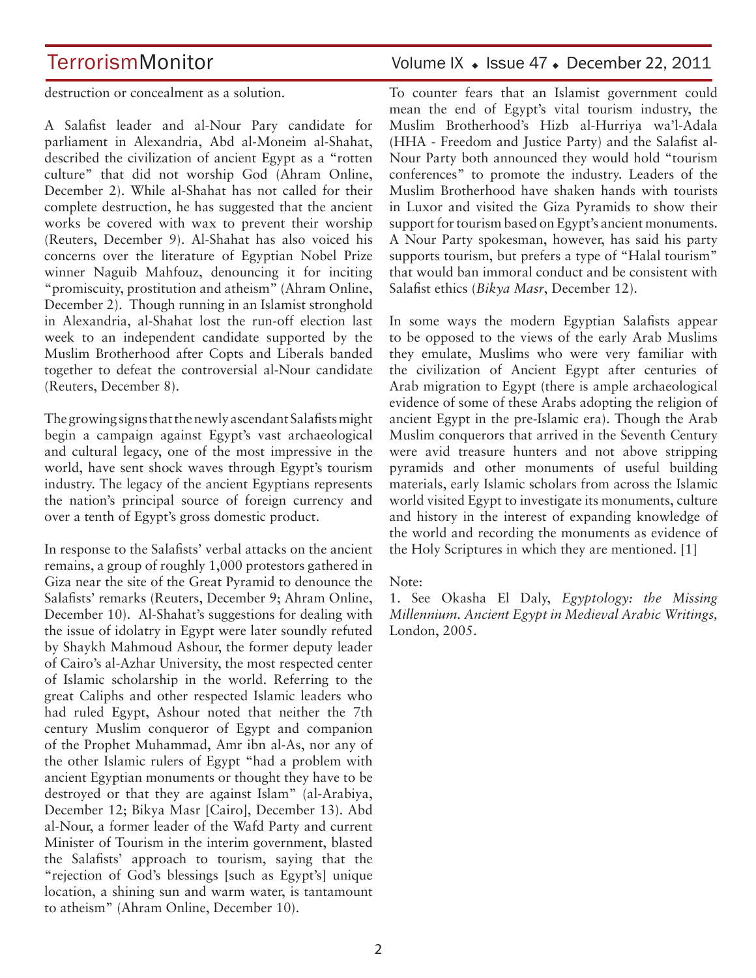destruction or concealment as a solution.

A Salafist leader and al-Nour Pary candidate for parliament in Alexandria, Abd al-Moneim al-Shahat, described the civilization of ancient Egypt as a "rotten culture" that did not worship God (Ahram Online, December 2). While al-Shahat has not called for their complete destruction, he has suggested that the ancient works be covered with wax to prevent their worship (Reuters, December 9). Al-Shahat has also voiced his concerns over the literature of Egyptian Nobel Prize winner Naguib Mahfouz, denouncing it for inciting "promiscuity, prostitution and atheism" (Ahram Online, December 2). Though running in an Islamist stronghold in Alexandria, al-Shahat lost the run-off election last week to an independent candidate supported by the Muslim Brotherhood after Copts and Liberals banded together to defeat the controversial al-Nour candidate (Reuters, December 8).

The growing signs that the newly ascendant Salafists might begin a campaign against Egypt's vast archaeological and cultural legacy, one of the most impressive in the world, have sent shock waves through Egypt's tourism industry. The legacy of the ancient Egyptians represents the nation's principal source of foreign currency and over a tenth of Egypt's gross domestic product.

In response to the Salafists' verbal attacks on the ancient remains, a group of roughly 1,000 protestors gathered in Giza near the site of the Great Pyramid to denounce the Salafists' remarks (Reuters, December 9; Ahram Online, December 10). Al-Shahat's suggestions for dealing with the issue of idolatry in Egypt were later soundly refuted by Shaykh Mahmoud Ashour, the former deputy leader of Cairo's al-Azhar University, the most respected center of Islamic scholarship in the world. Referring to the great Caliphs and other respected Islamic leaders who had ruled Egypt, Ashour noted that neither the 7th century Muslim conqueror of Egypt and companion of the Prophet Muhammad, Amr ibn al-As, nor any of the other Islamic rulers of Egypt "had a problem with ancient Egyptian monuments or thought they have to be destroyed or that they are against Islam" (al-Arabiya, December 12; Bikya Masr [Cairo], December 13). Abd al-Nour, a former leader of the Wafd Party and current Minister of Tourism in the interim government, blasted the Salafists' approach to tourism, saying that the "rejection of God's blessings [such as Egypt's] unique location, a shining sun and warm water, is tantamount to atheism" (Ahram Online, December 10).

## TerrorismMonitor Volume IX + Issue 47 + December 22, 2011

To counter fears that an Islamist government could mean the end of Egypt's vital tourism industry, the Muslim Brotherhood's Hizb al-Hurriya wa'l-Adala (HHA - Freedom and Justice Party) and the Salafist al-Nour Party both announced they would hold "tourism conferences" to promote the industry. Leaders of the Muslim Brotherhood have shaken hands with tourists in Luxor and visited the Giza Pyramids to show their support for tourism based on Egypt's ancient monuments. A Nour Party spokesman, however, has said his party supports tourism, but prefers a type of "Halal tourism" that would ban immoral conduct and be consistent with Salafist ethics (*Bikya Masr*, December 12).

In some ways the modern Egyptian Salafists appear to be opposed to the views of the early Arab Muslims they emulate, Muslims who were very familiar with the civilization of Ancient Egypt after centuries of Arab migration to Egypt (there is ample archaeological evidence of some of these Arabs adopting the religion of ancient Egypt in the pre-Islamic era). Though the Arab Muslim conquerors that arrived in the Seventh Century were avid treasure hunters and not above stripping pyramids and other monuments of useful building materials, early Islamic scholars from across the Islamic world visited Egypt to investigate its monuments, culture and history in the interest of expanding knowledge of the world and recording the monuments as evidence of the Holy Scriptures in which they are mentioned. [1]

Note:

1. See Okasha El Daly, *Egyptology: the Missing Millennium. Ancient Egypt in Medieval Arabic Writings,*  London, 2005.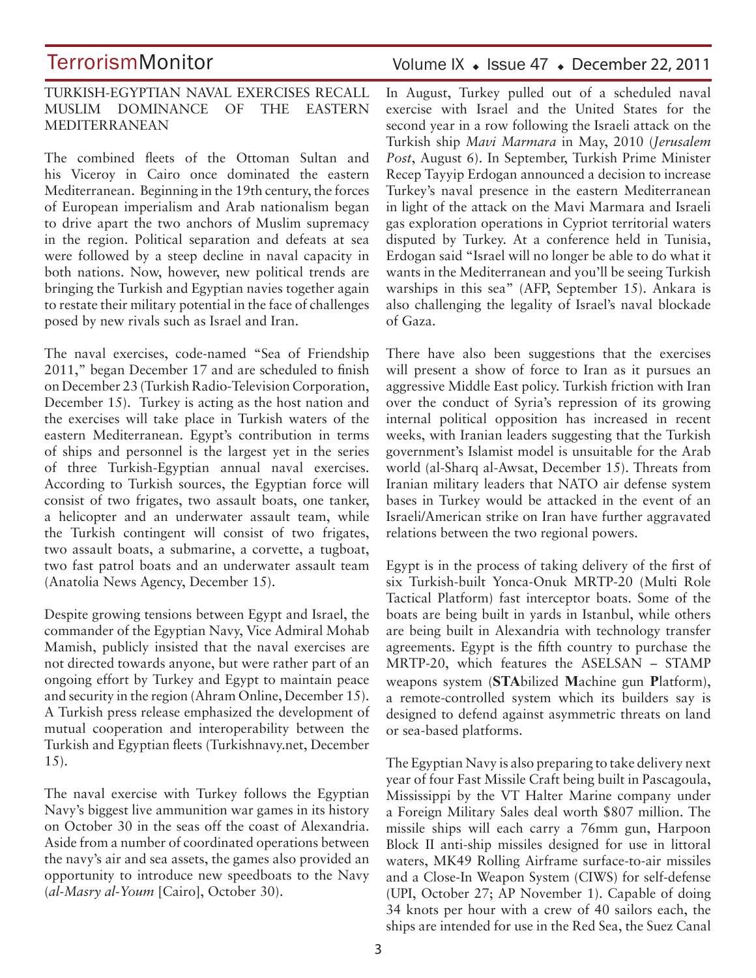#### TURKISH-EGYPTIAN NAVAL EXERCISES RECALL MUSLIM DOMINANCE OF THE EASTERN MEDITERRANEAN

The combined fleets of the Ottoman Sultan and his Viceroy in Cairo once dominated the eastern Mediterranean. Beginning in the 19th century, the forces of European imperialism and Arab nationalism began to drive apart the two anchors of Muslim supremacy in the region. Political separation and defeats at sea were followed by a steep decline in naval capacity in both nations. Now, however, new political trends are bringing the Turkish and Egyptian navies together again to restate their military potential in the face of challenges posed by new rivals such as Israel and Iran.

The naval exercises, code-named "Sea of Friendship 2011," began December 17 and are scheduled to finish on December 23 (Turkish Radio-Television Corporation, December 15). Turkey is acting as the host nation and the exercises will take place in Turkish waters of the eastern Mediterranean. Egypt's contribution in terms of ships and personnel is the largest yet in the series of three Turkish-Egyptian annual naval exercises. According to Turkish sources, the Egyptian force will consist of two frigates, two assault boats, one tanker, a helicopter and an underwater assault team, while the Turkish contingent will consist of two frigates, two assault boats, a submarine, a corvette, a tugboat, two fast patrol boats and an underwater assault team (Anatolia News Agency, December 15).

Despite growing tensions between Egypt and Israel, the commander of the Egyptian Navy, Vice Admiral Mohab Mamish, publicly insisted that the naval exercises are not directed towards anyone, but were rather part of an ongoing effort by Turkey and Egypt to maintain peace and security in the region (Ahram Online, December 15). A Turkish press release emphasized the development of mutual cooperation and interoperability between the Turkish and Egyptian fleets (Turkishnavy.net, December 15).

The naval exercise with Turkey follows the Egyptian Navy's biggest live ammunition war games in its history on October 30 in the seas off the coast of Alexandria. Aside from a number of coordinated operations between the navy's air and sea assets, the games also provided an opportunity to introduce new speedboats to the Navy (*al-Masry al-Youm* [Cairo], October 30).

### Volume IX · Issue 47 · December 22, 2011

In August, Turkey pulled out of a scheduled naval exercise with Israel and the United States for the second year in a row following the Israeli attack on the Turkish ship *Mavi Marmara* in May, 2010 (*Jerusalem Post*, August 6). In September, Turkish Prime Minister Recep Tayyip Erdogan announced a decision to increase Turkey's naval presence in the eastern Mediterranean in light of the attack on the Mavi Marmara and Israeli gas exploration operations in Cypriot territorial waters disputed by Turkey. At a conference held in Tunisia, Erdogan said "Israel will no longer be able to do what it wants in the Mediterranean and you'll be seeing Turkish warships in this sea" (AFP, September 15). Ankara is also challenging the legality of Israel's naval blockade of Gaza.

There have also been suggestions that the exercises will present a show of force to Iran as it pursues an aggressive Middle East policy. Turkish friction with Iran over the conduct of Syria's repression of its growing internal political opposition has increased in recent weeks, with Iranian leaders suggesting that the Turkish government's Islamist model is unsuitable for the Arab world (al-Sharq al-Awsat, December 15). Threats from Iranian military leaders that NATO air defense system bases in Turkey would be attacked in the event of an Israeli/American strike on Iran have further aggravated relations between the two regional powers.

Egypt is in the process of taking delivery of the first of six Turkish-built Yonca-Onuk MRTP-20 (Multi Role Tactical Platform) fast interceptor boats. Some of the boats are being built in yards in Istanbul, while others are being built in Alexandria with technology transfer agreements. Egypt is the fifth country to purchase the MRTP-20, which features the ASELSAN – STAMP weapons system (**STA**bilized **M**achine gun **P**latform), a remote-controlled system which its builders say is designed to defend against asymmetric threats on land or sea-based platforms.

The Egyptian Navy is also preparing to take delivery next year of four Fast Missile Craft being built in Pascagoula, Mississippi by the VT Halter Marine company under a Foreign Military Sales deal worth \$807 million. The missile ships will each carry a 76mm gun, Harpoon Block II anti-ship missiles designed for use in littoral waters, MK49 Rolling Airframe surface-to-air missiles and a Close-In Weapon System (CIWS) for self-defense (UPI, October 27; AP November 1). Capable of doing 34 knots per hour with a crew of 40 sailors each, the ships are intended for use in the Red Sea, the Suez Canal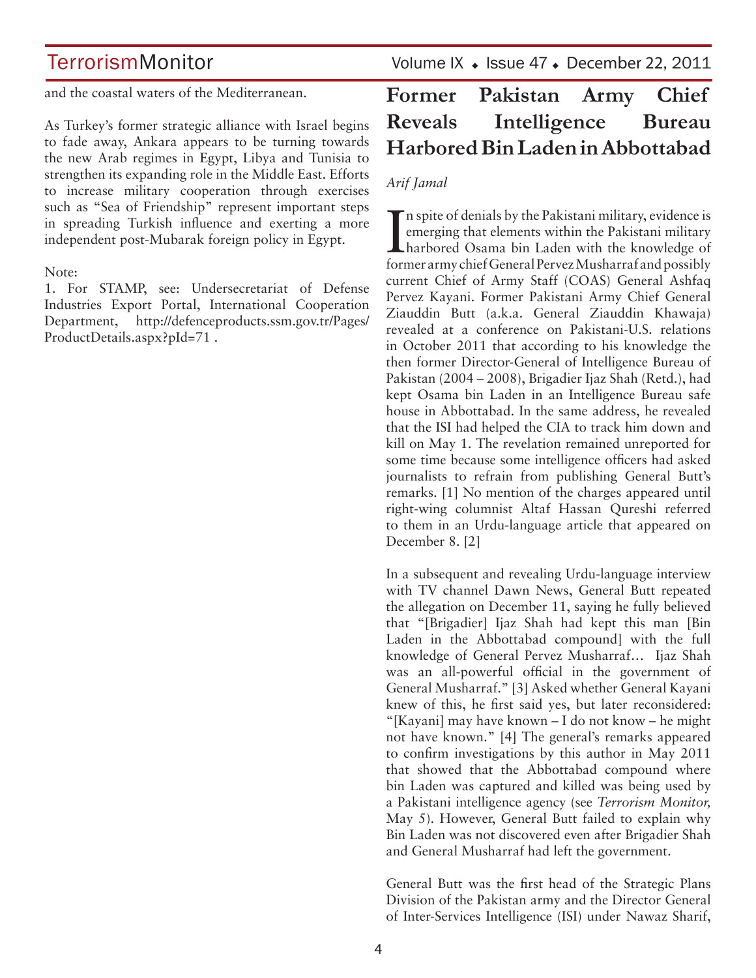and the coastal waters of the Mediterranean.

As Turkey's former strategic alliance with Israel begins to fade away, Ankara appears to be turning towards the new Arab regimes in Egypt, Libya and Tunisia to strengthen its expanding role in the Middle East. Efforts to increase military cooperation through exercises such as "Sea of Friendship" represent important steps in spreading Turkish influence and exerting a more independent post-Mubarak foreign policy in Egypt.

#### Note:

1. For STAMP, see: Undersecretariat of Defense Industries Export Portal, International Cooperation Department, http://defenceproducts.ssm.gov.tr/Pages/ ProductDetails.aspx?pId=71 .

TerrorismMonitor Volume IX + Issue 47 + December 22, 2011

# **Former Pakistan Army Chief Reveals Intelligence Bureau Harbored Bin Laden in Abbottabad**

### *Arif Jamal*

In spite of denials by the Pakistani military, evidence is<br>emerging that elements within the Pakistani military<br>harbored Osama bin Laden with the knowledge of emerging that elements within the Pakistani military harbored Osama bin Laden with the knowledge of former army chief General Pervez Musharraf and possibly current Chief of Army Staff (COAS) General Ashfaq Pervez Kayani. Former Pakistani Army Chief General Ziauddin Butt (a.k.a. General Ziauddin Khawaja) revealed at a conference on Pakistani-U.S. relations in October 2011 that according to his knowledge the then former Director-General of Intelligence Bureau of Pakistan (2004 – 2008), Brigadier Ijaz Shah (Retd.), had kept Osama bin Laden in an Intelligence Bureau safe house in Abbottabad. In the same address, he revealed that the ISI had helped the CIA to track him down and kill on May 1. The revelation remained unreported for some time because some intelligence officers had asked journalists to refrain from publishing General Butt's remarks. [1] No mention of the charges appeared until right-wing columnist Altaf Hassan Qureshi referred to them in an Urdu-language article that appeared on December 8. [2]

In a subsequent and revealing Urdu-language interview with TV channel Dawn News, General Butt repeated the allegation on December 11, saying he fully believed that "[Brigadier] Ijaz Shah had kept this man [Bin Laden in the Abbottabad compound] with the full knowledge of General Pervez Musharraf… Ijaz Shah was an all-powerful official in the government of General Musharraf." [3] Asked whether General Kayani knew of this, he first said yes, but later reconsidered: "[Kayani] may have known – I do not know – he might not have known." [4] The general's remarks appeared to confirm investigations by this author in May 2011 that showed that the Abbottabad compound where bin Laden was captured and killed was being used by a Pakistani intelligence agency (see *Terrorism Monitor,*  May 5). However, General Butt failed to explain why Bin Laden was not discovered even after Brigadier Shah and General Musharraf had left the government.

General Butt was the first head of the Strategic Plans Division of the Pakistan army and the Director General of Inter-Services Intelligence (ISI) under Nawaz Sharif,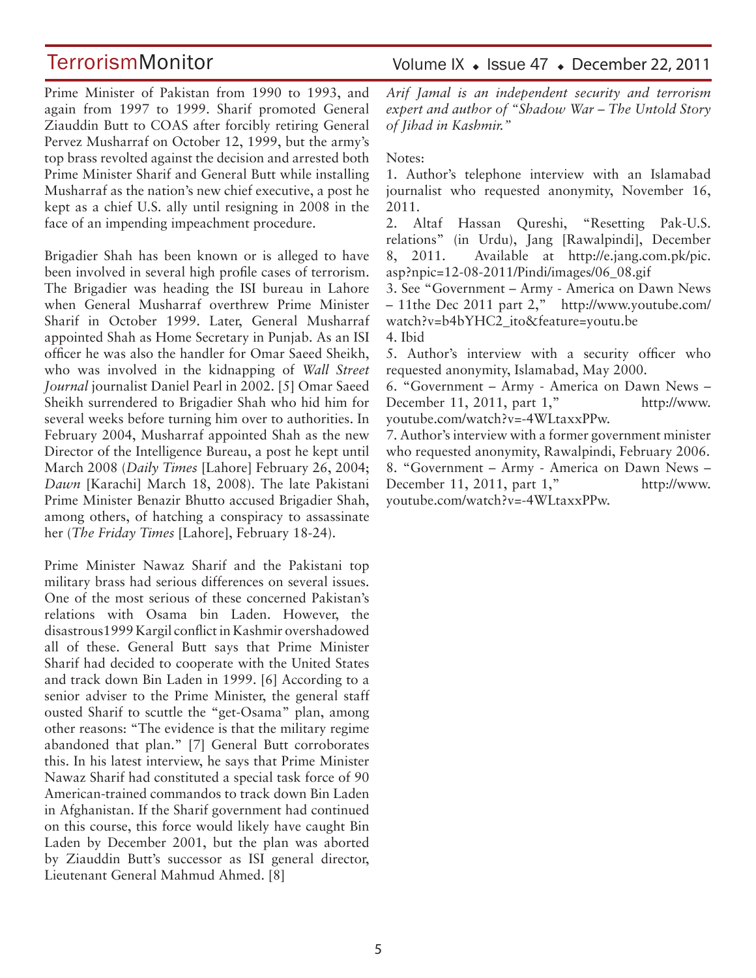Volume IX · Issue 47 · December 22, 2011

Prime Minister of Pakistan from 1990 to 1993, and again from 1997 to 1999. Sharif promoted General Ziauddin Butt to COAS after forcibly retiring General Pervez Musharraf on October 12, 1999, but the army's top brass revolted against the decision and arrested both Prime Minister Sharif and General Butt while installing Musharraf as the nation's new chief executive, a post he kept as a chief U.S. ally until resigning in 2008 in the face of an impending impeachment procedure.

Brigadier Shah has been known or is alleged to have been involved in several high profile cases of terrorism. The Brigadier was heading the ISI bureau in Lahore when General Musharraf overthrew Prime Minister Sharif in October 1999. Later, General Musharraf appointed Shah as Home Secretary in Punjab. As an ISI officer he was also the handler for Omar Saeed Sheikh, who was involved in the kidnapping of *Wall Street Journal* journalist Daniel Pearl in 2002. [5] Omar Saeed Sheikh surrendered to Brigadier Shah who hid him for several weeks before turning him over to authorities. In February 2004, Musharraf appointed Shah as the new Director of the Intelligence Bureau, a post he kept until March 2008 (*Daily Times* [Lahore] February 26, 2004; *Dawn* [Karachi] March 18, 2008). The late Pakistani Prime Minister Benazir Bhutto accused Brigadier Shah, among others, of hatching a conspiracy to assassinate her (*The Friday Times* [Lahore], February 18-24).

Prime Minister Nawaz Sharif and the Pakistani top military brass had serious differences on several issues. One of the most serious of these concerned Pakistan's relations with Osama bin Laden. However, the disastrous1999 Kargil conflict in Kashmir overshadowed all of these. General Butt says that Prime Minister Sharif had decided to cooperate with the United States and track down Bin Laden in 1999. [6] According to a senior adviser to the Prime Minister, the general staff ousted Sharif to scuttle the "get-Osama" plan, among other reasons: "The evidence is that the military regime abandoned that plan." [7] General Butt corroborates this. In his latest interview, he says that Prime Minister Nawaz Sharif had constituted a special task force of 90 American-trained commandos to track down Bin Laden in Afghanistan. If the Sharif government had continued on this course, this force would likely have caught Bin Laden by December 2001, but the plan was aborted by Ziauddin Butt's successor as ISI general director, Lieutenant General Mahmud Ahmed. [8]

*Arif Jamal is an independent security and terrorism expert and author of "Shadow War – The Untold Story of Jihad in Kashmir."*

Notes:

1. Author's telephone interview with an Islamabad journalist who requested anonymity, November 16, 2011.

2. Altaf Hassan Qureshi, "Resetting Pak-U.S. relations" (in Urdu), Jang [Rawalpindi], December 8, 2011. Available at http://e.jang.com.pk/pic. asp?npic=12-08-2011/Pindi/images/06\_08.gif

3. See "Government – Army - America on Dawn News – 11the Dec 2011 part 2," http://www.youtube.com/ watch?v=b4bYHC2\_ito&feature=youtu.be 4. Ibid

5. Author's interview with a security officer who requested anonymity, Islamabad, May 2000.

6. "Government – Army - America on Dawn News – December 11, 2011, part 1," http://www. youtube.com/watch?v=-4WLtaxxPPw.

7. Author's interview with a former government minister who requested anonymity, Rawalpindi, February 2006. 8. "Government – Army - America on Dawn News – December 11, 2011, part 1," http://www. youtube.com/watch?v=-4WLtaxxPPw.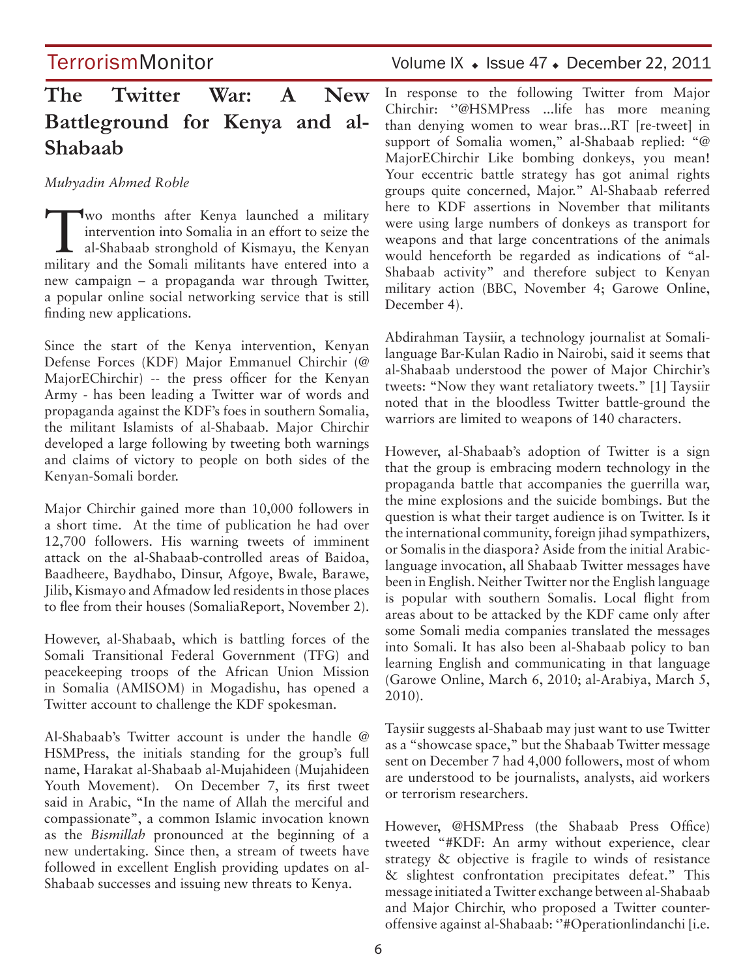# **The Twitter War: A New Battleground for Kenya and al-Shabaab**

*Muhyadin Ahmed Roble*

Two months after Kenya launched a military<br>
intervention into Somalia in an effort to seize the<br>
al-Shabaab stronghold of Kismayu, the Kenyan<br>
military and the Somali military have antered into a intervention into Somalia in an effort to seize the military and the Somali militants have entered into a new campaign – a propaganda war through Twitter, a popular online social networking service that is still finding new applications.

Since the start of the Kenya intervention, Kenyan Defense Forces (KDF) Major Emmanuel Chirchir (@ MajorEChirchir) -- the press officer for the Kenyan Army - has been leading a Twitter war of words and propaganda against the KDF's foes in southern Somalia, the militant Islamists of al-Shabaab. Major Chirchir developed a large following by tweeting both warnings and claims of victory to people on both sides of the Kenyan-Somali border.

Major Chirchir gained more than 10,000 followers in a short time. At the time of publication he had over 12,700 followers. His warning tweets of imminent attack on the al-Shabaab-controlled areas of Baidoa, Baadheere, Baydhabo, Dinsur, Afgoye, Bwale, Barawe, Jilib, Kismayo and Afmadow led residents in those places to flee from their houses (SomaliaReport, November 2).

However, al-Shabaab, which is battling forces of the Somali Transitional Federal Government (TFG) and peacekeeping troops of the African Union Mission in Somalia (AMISOM) in Mogadishu, has opened a Twitter account to challenge the KDF spokesman.

Al-Shabaab's Twitter account is under the handle @ HSMPress, the initials standing for the group's full name, Harakat al-Shabaab al-Mujahideen (Mujahideen Youth Movement). On December 7, its first tweet said in Arabic, "In the name of Allah the merciful and compassionate", a common Islamic invocation known as the *Bismillah* pronounced at the beginning of a new undertaking. Since then, a stream of tweets have followed in excellent English providing updates on al-Shabaab successes and issuing new threats to Kenya.

TerrorismMonitor Volume IX + Issue 47 + December 22, 2011

In response to the following Twitter from Major Chirchir: ''@HSMPress ...life has more meaning than denying women to wear bras...RT [re-tweet] in support of Somalia women," al-Shabaab replied: "@ MajorEChirchir Like bombing donkeys, you mean! Your eccentric battle strategy has got animal rights groups quite concerned, Major." Al-Shabaab referred here to KDF assertions in November that militants were using large numbers of donkeys as transport for weapons and that large concentrations of the animals would henceforth be regarded as indications of "al-Shabaab activity" and therefore subject to Kenyan military action (BBC, November 4; Garowe Online, December 4).

Abdirahman Taysiir, a technology journalist at Somalilanguage Bar-Kulan Radio in Nairobi, said it seems that al-Shabaab understood the power of Major Chirchir's tweets: "Now they want retaliatory tweets." [1] Taysiir noted that in the bloodless Twitter battle-ground the warriors are limited to weapons of 140 characters.

However, al-Shabaab's adoption of Twitter is a sign that the group is embracing modern technology in the propaganda battle that accompanies the guerrilla war, the mine explosions and the suicide bombings. But the question is what their target audience is on Twitter. Is it the international community, foreign jihad sympathizers, or Somalis in the diaspora? Aside from the initial Arabiclanguage invocation, all Shabaab Twitter messages have been in English. Neither Twitter nor the English language is popular with southern Somalis. Local flight from areas about to be attacked by the KDF came only after some Somali media companies translated the messages into Somali. It has also been al-Shabaab policy to ban learning English and communicating in that language (Garowe Online, March 6, 2010; al-Arabiya, March 5, 2010).

Taysiir suggests al-Shabaab may just want to use Twitter as a "showcase space," but the Shabaab Twitter message sent on December 7 had 4,000 followers, most of whom are understood to be journalists, analysts, aid workers or terrorism researchers.

However, @HSMPress (the Shabaab Press Office) tweeted "#KDF: An army without experience, clear strategy & objective is fragile to winds of resistance & slightest confrontation precipitates defeat." This message initiated a Twitter exchange between al-Shabaab and Major Chirchir, who proposed a Twitter counteroffensive against al-Shabaab: ''#Operationlindanchi [i.e.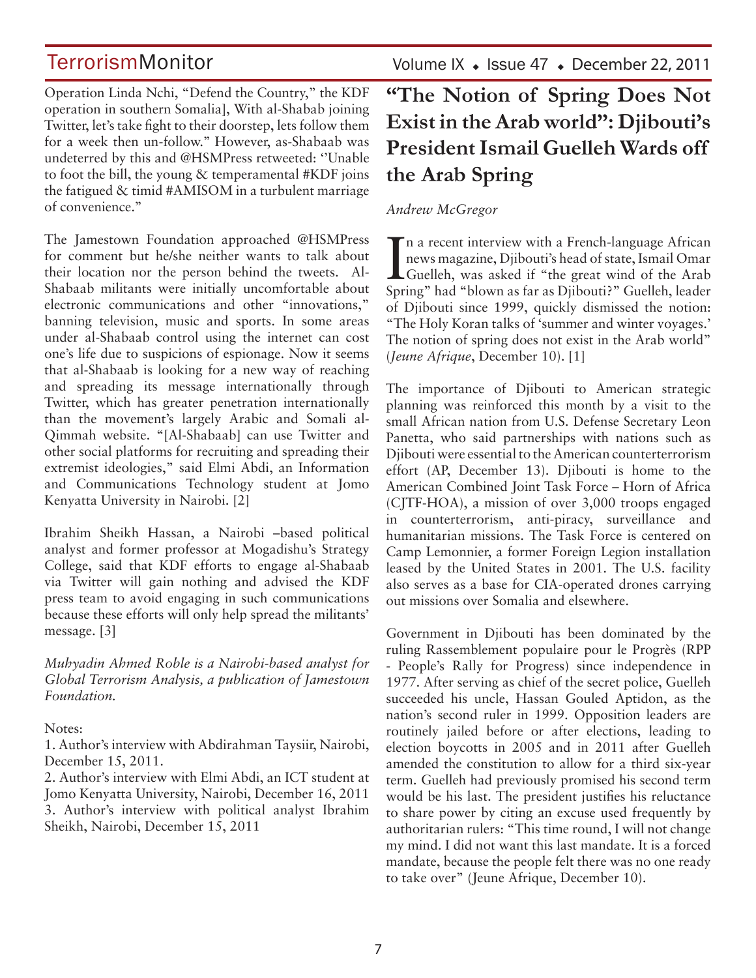Operation Linda Nchi, "Defend the Country," the KDF operation in southern Somalia], With al-Shabab joining Twitter, let's take fight to their doorstep, lets follow them for a week then un-follow.'' However, as-Shabaab was undeterred by this and @HSMPress retweeted: ''Unable to foot the bill, the young & temperamental #KDF joins the fatigued & timid #AMISOM in a turbulent marriage of convenience.''

The Jamestown Foundation approached @HSMPress for comment but he/she neither wants to talk about their location nor the person behind the tweets. Al-Shabaab militants were initially uncomfortable about electronic communications and other "innovations," banning television, music and sports. In some areas under al-Shabaab control using the internet can cost one's life due to suspicions of espionage. Now it seems that al-Shabaab is looking for a new way of reaching and spreading its message internationally through Twitter, which has greater penetration internationally than the movement's largely Arabic and Somali al-Qimmah website. "[Al-Shabaab] can use Twitter and other social platforms for recruiting and spreading their extremist ideologies," said Elmi Abdi, an Information and Communications Technology student at Jomo Kenyatta University in Nairobi. [2]

Ibrahim Sheikh Hassan, a Nairobi –based political analyst and former professor at Mogadishu's Strategy College, said that KDF efforts to engage al-Shabaab via Twitter will gain nothing and advised the KDF press team to avoid engaging in such communications because these efforts will only help spread the militants' message. [3]

*Muhyadin Ahmed Roble is a Nairobi-based analyst for Global Terrorism Analysis, a publication of Jamestown Foundation.*

#### Notes:

1. Author's interview with Abdirahman Taysiir, Nairobi, December 15, 2011.

2. Author's interview with Elmi Abdi, an ICT student at Jomo Kenyatta University, Nairobi, December 16, 2011 3. Author's interview with political analyst Ibrahim Sheikh, Nairobi, December 15, 2011

Volume IX  $\;\bullet\;$  Issue 47  $\;\bullet\;$  December 22, 2011

# **"The Notion of Spring Does Not Exist in the Arab world": Djibouti's President Ismail Guelleh Wards off the Arab Spring**

### *Andrew McGregor*

In a recent interview with a French-language African<br>news magazine, Djibouti's head of state, Ismail Omar<br>Guelleh, was asked if "the great wind of the Arab<br>Spring" hed "blown as for as Diibouti?" Guelleh leader If n a recent interview with a French-language African news magazine, Djibouti's head of state, Ismail Omar Spring" had "blown as far as Djibouti?" Guelleh, leader of Djibouti since 1999, quickly dismissed the notion: "The Holy Koran talks of 'summer and winter voyages.' The notion of spring does not exist in the Arab world" (*Jeune Afrique*, December 10). [1]

The importance of Djibouti to American strategic planning was reinforced this month by a visit to the small African nation from U.S. Defense Secretary Leon Panetta, who said partnerships with nations such as Djibouti were essential to the American counterterrorism effort (AP, December 13). Djibouti is home to the American Combined Joint Task Force – Horn of Africa (CJTF-HOA), a mission of over 3,000 troops engaged in counterterrorism, anti-piracy, surveillance and humanitarian missions. The Task Force is centered on Camp Lemonnier, a former Foreign Legion installation leased by the United States in 2001. The U.S. facility also serves as a base for CIA-operated drones carrying out missions over Somalia and elsewhere.

Government in Djibouti has been dominated by the ruling Rassemblement populaire pour le Progrès (RPP - People's Rally for Progress) since independence in 1977. After serving as chief of the secret police, Guelleh succeeded his uncle, Hassan Gouled Aptidon, as the nation's second ruler in 1999. Opposition leaders are routinely jailed before or after elections, leading to election boycotts in 2005 and in 2011 after Guelleh amended the constitution to allow for a third six-year term. Guelleh had previously promised his second term would be his last. The president justifies his reluctance to share power by citing an excuse used frequently by authoritarian rulers: "This time round, I will not change my mind. I did not want this last mandate. It is a forced mandate, because the people felt there was no one ready to take over" (Jeune Afrique, December 10).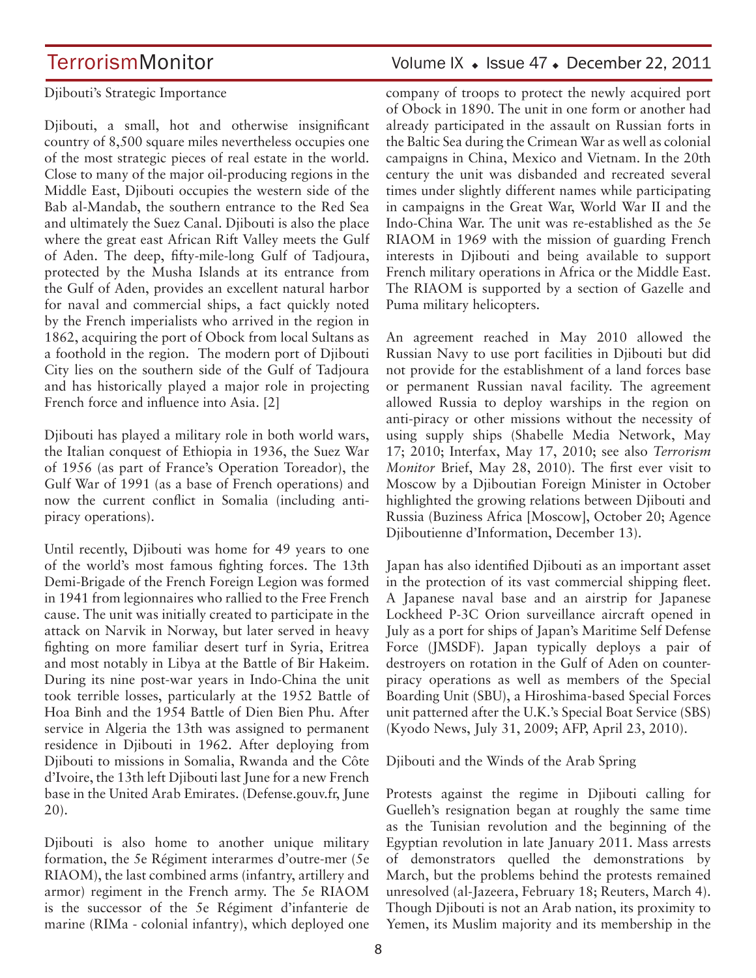#### Djibouti's Strategic Importance

Djibouti, a small, hot and otherwise insignificant country of 8,500 square miles nevertheless occupies one of the most strategic pieces of real estate in the world. Close to many of the major oil-producing regions in the Middle East, Djibouti occupies the western side of the Bab al-Mandab, the southern entrance to the Red Sea and ultimately the Suez Canal. Djibouti is also the place where the great east African Rift Valley meets the Gulf of Aden. The deep, fifty-mile-long Gulf of Tadjoura, protected by the Musha Islands at its entrance from the Gulf of Aden, provides an excellent natural harbor for naval and commercial ships, a fact quickly noted by the French imperialists who arrived in the region in 1862, acquiring the port of Obock from local Sultans as a foothold in the region. The modern port of Djibouti City lies on the southern side of the Gulf of Tadjoura and has historically played a major role in projecting French force and influence into Asia. [2]

Djibouti has played a military role in both world wars, the Italian conquest of Ethiopia in 1936, the Suez War of 1956 (as part of France's Operation Toreador), the Gulf War of 1991 (as a base of French operations) and now the current conflict in Somalia (including antipiracy operations).

Until recently, Djibouti was home for 49 years to one of the world's most famous fighting forces. The 13th Demi-Brigade of the French Foreign Legion was formed in 1941 from legionnaires who rallied to the Free French cause. The unit was initially created to participate in the attack on Narvik in Norway, but later served in heavy fighting on more familiar desert turf in Syria, Eritrea and most notably in Libya at the Battle of Bir Hakeim. During its nine post-war years in Indo-China the unit took terrible losses, particularly at the 1952 Battle of Hoa Binh and the 1954 Battle of Dien Bien Phu. After service in Algeria the 13th was assigned to permanent residence in Djibouti in 1962. After deploying from Djibouti to missions in Somalia, Rwanda and the Côte d'Ivoire, the 13th left Djibouti last June for a new French base in the United Arab Emirates. (Defense.gouv.fr, June 20).

Djibouti is also home to another unique military formation, the 5e Régiment interarmes d'outre-mer (5e RIAOM), the last combined arms (infantry, artillery and armor) regiment in the French army. The 5e RIAOM is the successor of the 5e Régiment d'infanterie de marine (RIMa - colonial infantry), which deployed one

# TerrorismMonitor Volume IX + Issue 47 + December 22, 2011

company of troops to protect the newly acquired port of Obock in 1890. The unit in one form or another had already participated in the assault on Russian forts in the Baltic Sea during the Crimean War as well as colonial campaigns in China, Mexico and Vietnam. In the 20th century the unit was disbanded and recreated several times under slightly different names while participating in campaigns in the Great War, World War II and the Indo-China War. The unit was re-established as the 5e RIAOM in 1969 with the mission of guarding French interests in Djibouti and being available to support French military operations in Africa or the Middle East. The RIAOM is supported by a section of Gazelle and Puma military helicopters.

An agreement reached in May 2010 allowed the Russian Navy to use port facilities in Djibouti but did not provide for the establishment of a land forces base or permanent Russian naval facility. The agreement allowed Russia to deploy warships in the region on anti-piracy or other missions without the necessity of using supply ships (Shabelle Media Network, May 17; 2010; Interfax, May 17, 2010; see also *Terrorism Monitor* Brief, May 28, 2010). The first ever visit to Moscow by a Djiboutian Foreign Minister in October highlighted the growing relations between Djibouti and Russia (Buziness Africa [Moscow], October 20; Agence Djiboutienne d'Information, December 13).

Japan has also identified Djibouti as an important asset in the protection of its vast commercial shipping fleet. A Japanese naval base and an airstrip for Japanese Lockheed P-3C Orion surveillance aircraft opened in July as a port for ships of Japan's Maritime Self Defense Force (JMSDF). Japan typically deploys a pair of destroyers on rotation in the Gulf of Aden on counterpiracy operations as well as members of the Special Boarding Unit (SBU), a Hiroshima-based Special Forces unit patterned after the U.K.'s Special Boat Service (SBS) (Kyodo News, July 31, 2009; AFP, April 23, 2010).

Djibouti and the Winds of the Arab Spring

Protests against the regime in Djibouti calling for Guelleh's resignation began at roughly the same time as the Tunisian revolution and the beginning of the Egyptian revolution in late January 2011. Mass arrests of demonstrators quelled the demonstrations by March, but the problems behind the protests remained unresolved (al-Jazeera, February 18; Reuters, March 4). Though Djibouti is not an Arab nation, its proximity to Yemen, its Muslim majority and its membership in the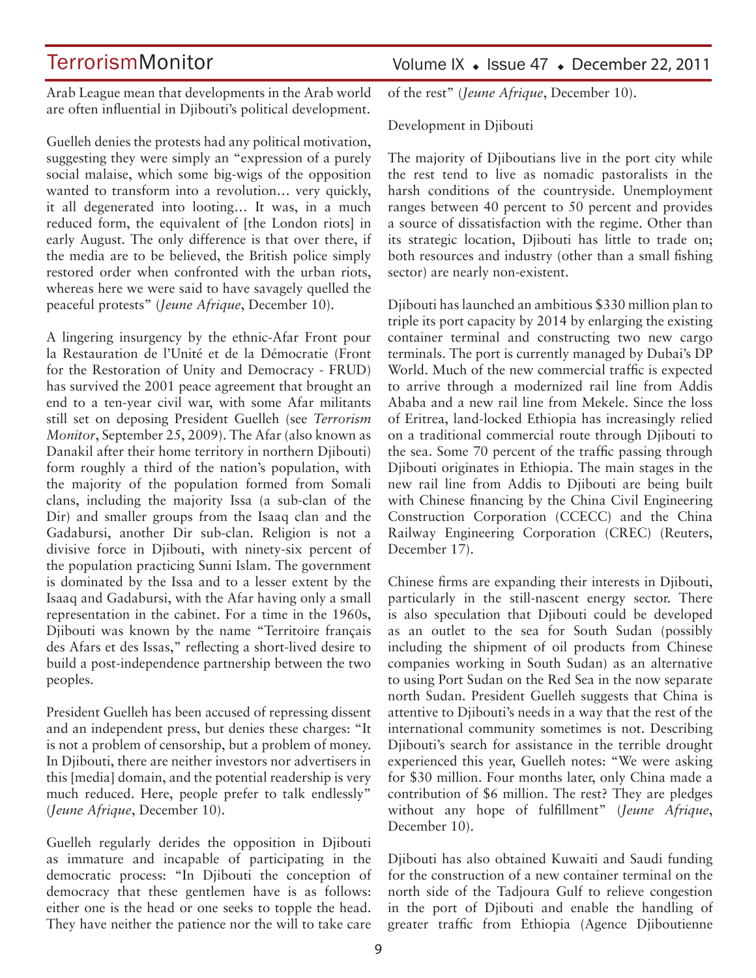Arab League mean that developments in the Arab world are often influential in Djibouti's political development.

Guelleh denies the protests had any political motivation, suggesting they were simply an "expression of a purely social malaise, which some big-wigs of the opposition wanted to transform into a revolution… very quickly, it all degenerated into looting… It was, in a much reduced form, the equivalent of [the London riots] in early August. The only difference is that over there, if the media are to be believed, the British police simply restored order when confronted with the urban riots, whereas here we were said to have savagely quelled the peaceful protests" (*Jeune Afrique*, December 10).

A lingering insurgency by the ethnic-Afar Front pour la Restauration de l'Unité et de la Démocratie (Front for the Restoration of Unity and Democracy - FRUD) has survived the 2001 peace agreement that brought an end to a ten-year civil war, with some Afar militants still set on deposing President Guelleh (see *Terrorism Monitor*, September 25, 2009). The Afar (also known as Danakil after their home territory in northern Djibouti) form roughly a third of the nation's population, with the majority of the population formed from Somali clans, including the majority Issa (a sub-clan of the Dir) and smaller groups from the Isaaq clan and the Gadabursi, another Dir sub-clan. Religion is not a divisive force in Djibouti, with ninety-six percent of the population practicing Sunni Islam. The government is dominated by the Issa and to a lesser extent by the Isaaq and Gadabursi, with the Afar having only a small representation in the cabinet. For a time in the 1960s, Djibouti was known by the name "Territoire français des Afars et des Issas," reflecting a short-lived desire to build a post-independence partnership between the two peoples.

President Guelleh has been accused of repressing dissent and an independent press, but denies these charges: "It is not a problem of censorship, but a problem of money. In Djibouti, there are neither investors nor advertisers in this [media] domain, and the potential readership is very much reduced. Here, people prefer to talk endlessly" (*Jeune Afrique*, December 10).

Guelleh regularly derides the opposition in Djibouti as immature and incapable of participating in the democratic process: "In Djibouti the conception of democracy that these gentlemen have is as follows: either one is the head or one seeks to topple the head. They have neither the patience nor the will to take care

### Volume IX · Issue 47 · December 22, 2011

of the rest" (*Jeune Afrique*, December 10).

Development in Djibouti

The majority of Djiboutians live in the port city while the rest tend to live as nomadic pastoralists in the harsh conditions of the countryside. Unemployment ranges between 40 percent to 50 percent and provides a source of dissatisfaction with the regime. Other than its strategic location, Djibouti has little to trade on; both resources and industry (other than a small fishing sector) are nearly non-existent.

Djibouti has launched an ambitious \$330 million plan to triple its port capacity by 2014 by enlarging the existing container terminal and constructing two new cargo terminals. The port is currently managed by Dubai's DP World. Much of the new commercial traffic is expected to arrive through a modernized rail line from Addis Ababa and a new rail line from Mekele. Since the loss of Eritrea, land-locked Ethiopia has increasingly relied on a traditional commercial route through Djibouti to the sea. Some 70 percent of the traffic passing through Djibouti originates in Ethiopia. The main stages in the new rail line from Addis to Djibouti are being built with Chinese financing by the China Civil Engineering Construction Corporation (CCECC) and the China Railway Engineering Corporation (CREC) (Reuters, December 17).

Chinese firms are expanding their interests in Djibouti, particularly in the still-nascent energy sector. There is also speculation that Djibouti could be developed as an outlet to the sea for South Sudan (possibly including the shipment of oil products from Chinese companies working in South Sudan) as an alternative to using Port Sudan on the Red Sea in the now separate north Sudan. President Guelleh suggests that China is attentive to Djibouti's needs in a way that the rest of the international community sometimes is not. Describing Djibouti's search for assistance in the terrible drought experienced this year, Guelleh notes: "We were asking for \$30 million. Four months later, only China made a contribution of \$6 million. The rest? They are pledges without any hope of fulfillment" (*Jeune Afrique*, December 10).

Djibouti has also obtained Kuwaiti and Saudi funding for the construction of a new container terminal on the north side of the Tadjoura Gulf to relieve congestion in the port of Djibouti and enable the handling of greater traffic from Ethiopia (Agence Djiboutienne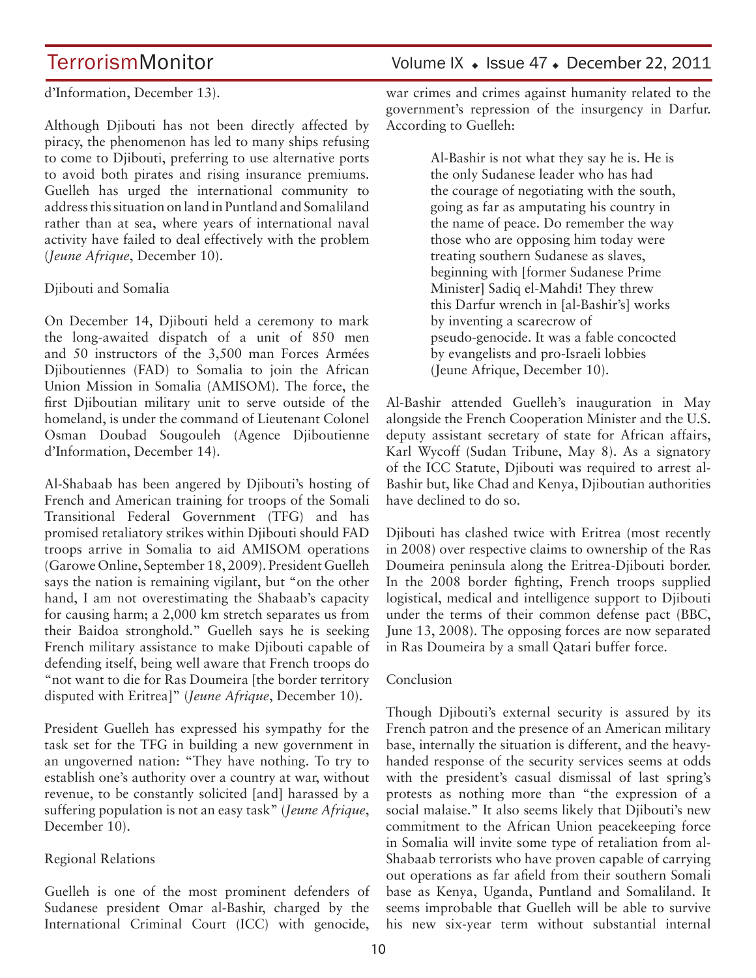#### d'Information, December 13).

Although Djibouti has not been directly affected by piracy, the phenomenon has led to many ships refusing to come to Djibouti, preferring to use alternative ports to avoid both pirates and rising insurance premiums. Guelleh has urged the international community to address this situation on land in Puntland and Somaliland rather than at sea, where years of international naval activity have failed to deal effectively with the problem (*Jeune Afrique*, December 10).

#### Djibouti and Somalia

On December 14, Djibouti held a ceremony to mark the long-awaited dispatch of a unit of 850 men and 50 instructors of the 3,500 man Forces Armées Djiboutiennes (FAD) to Somalia to join the African Union Mission in Somalia (AMISOM). The force, the first Djiboutian military unit to serve outside of the homeland, is under the command of Lieutenant Colonel Osman Doubad Sougouleh (Agence Djiboutienne d'Information, December 14).

Al-Shabaab has been angered by Djibouti's hosting of French and American training for troops of the Somali Transitional Federal Government (TFG) and has promised retaliatory strikes within Djibouti should FAD troops arrive in Somalia to aid AMISOM operations (Garowe Online, September 18, 2009). President Guelleh says the nation is remaining vigilant, but "on the other hand, I am not overestimating the Shabaab's capacity for causing harm; a 2,000 km stretch separates us from their Baidoa stronghold." Guelleh says he is seeking French military assistance to make Djibouti capable of defending itself, being well aware that French troops do "not want to die for Ras Doumeira [the border territory disputed with Eritrea]" (*Jeune Afrique*, December 10).

President Guelleh has expressed his sympathy for the task set for the TFG in building a new government in an ungoverned nation: "They have nothing. To try to establish one's authority over a country at war, without revenue, to be constantly solicited [and] harassed by a suffering population is not an easy task" (*Jeune Afrique*, December 10).

#### Regional Relations

Guelleh is one of the most prominent defenders of Sudanese president Omar al-Bashir, charged by the International Criminal Court (ICC) with genocide, war crimes and crimes against humanity related to the government's repression of the insurgency in Darfur. According to Guelleh:

> Al-Bashir is not what they say he is. He is the only Sudanese leader who has had the courage of negotiating with the south, going as far as amputating his country in the name of peace. Do remember the way those who are opposing him today were treating southern Sudanese as slaves, beginning with [former Sudanese Prime Minister] Sadiq el-Mahdi! They threw this Darfur wrench in [al-Bashir's] works by inventing a scarecrow of pseudo-genocide. It was a fable concocted by evangelists and pro-Israeli lobbies (Jeune Afrique, December 10).

Al-Bashir attended Guelleh's inauguration in May alongside the French Cooperation Minister and the U.S. deputy assistant secretary of state for African affairs, Karl Wycoff (Sudan Tribune, May 8). As a signatory of the ICC Statute, Djibouti was required to arrest al-Bashir but, like Chad and Kenya, Djiboutian authorities have declined to do so.

Djibouti has clashed twice with Eritrea (most recently in 2008) over respective claims to ownership of the Ras Doumeira peninsula along the Eritrea-Djibouti border. In the 2008 border fighting, French troops supplied logistical, medical and intelligence support to Djibouti under the terms of their common defense pact (BBC, June 13, 2008). The opposing forces are now separated in Ras Doumeira by a small Qatari buffer force.

#### Conclusion

Though Djibouti's external security is assured by its French patron and the presence of an American military base, internally the situation is different, and the heavyhanded response of the security services seems at odds with the president's casual dismissal of last spring's protests as nothing more than "the expression of a social malaise." It also seems likely that Djibouti's new commitment to the African Union peacekeeping force in Somalia will invite some type of retaliation from al-Shabaab terrorists who have proven capable of carrying out operations as far afield from their southern Somali base as Kenya, Uganda, Puntland and Somaliland. It seems improbable that Guelleh will be able to survive his new six-year term without substantial internal